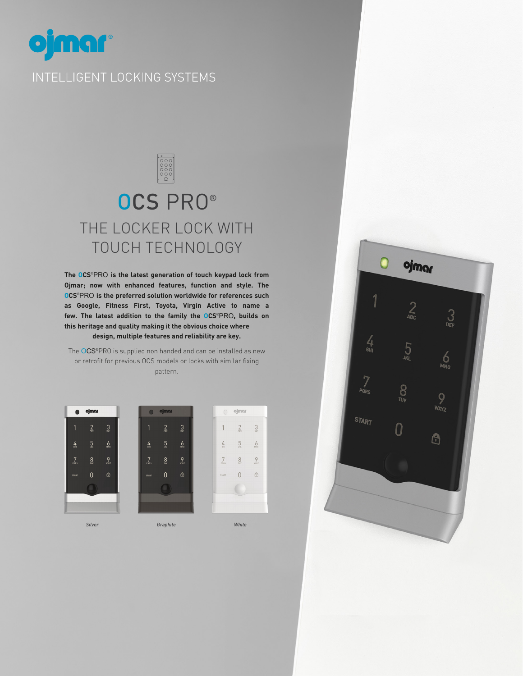

# OCS PRO® THE LOCKER LOCK WITH TOUCH TECHNOLOGY

**The OCS**®PRO **is the latest generation of touch keypad lock from Ojmar; now with enhanced features, function and style. The OCS**®PRO **is the preferred solution worldwide for references such as Google, Fitness First, Toyota, Virgin Active to name a few. The latest addition to the family the OCS**®PRO**, builds on this heritage and quality making it the obvious choice where design, multiple features and reliability are key.**

The OCS®PRO is supplied non handed and can be installed as new or retrofit for previous OCS models or locks with similar fixing pattern.

 $\frac{3}{2}$ 

 $6$ 

 $\frac{9}{2}$ 

 $\ensuremath{\mathrel{\mathsf{C}}\xspace}$